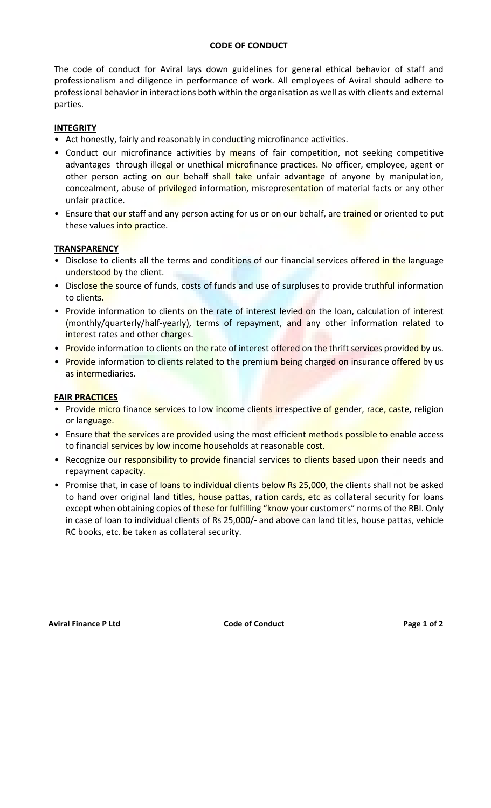#### CODE OF CONDUCT

The code of conduct for Aviral lays down guidelines for general ethical behavior of staff and professionalism and diligence in performance of work. All employees of Aviral should adhere to professional behavior in interactions both within the organisation as well as with clients and external parties.

# **INTEGRITY**

- Act honestly, fairly and reasonably in conducting microfinance activities.
- Conduct our microfinance activities by means of fair competition, not seeking competitive advantages through illegal or unethical microfinance practices. No officer, employee, agent or other person acting on our behalf shall take unfair advantage of anyone by manipulation, concealment, abuse of privileged information, misrepresentation of material facts or any other unfair practice.
- Ensure that our staff and any person acting for us or on our behalf, are trained or oriented to put these values into practice.

#### **TRANSPARENCY**

- Disclose to clients all the terms and conditions of our financial services offered in the language understood by the client.
- Disclose the source of funds, costs of funds and use of surpluses to provide truthful information to clients.
- Provide information to clients on the rate of interest levied on the loan, calculation of interest (monthly/quarterly/half-yearly), terms of repayment, and any other information related to interest rates and other charges.
- Provide information to clients on the rate of interest offered on the thrift services provided by us.
- Provide information to clients related to the premium being charged on insurance offered by us as intermediaries.

# FAIR PRACTICES

- Provide micro finance services to low income clients irrespective of gender, race, caste, religion or language.
- Ensure that the services are provided using the most efficient methods possible to enable access to financial services by low income households at reasonable cost.
- Recognize our responsibility to provide financial services to clients based upon their needs and repayment capacity.
- Promise that, in case of loans to individual clients below Rs 25,000, the clients shall not be asked to hand over original land titles, house pattas, ration cards, etc as collateral security for loans except when obtaining copies of these for fulfilling "know your customers" norms of the RBI. Only in case of loan to individual clients of Rs 25,000/- and above can land titles, house pattas, vehicle RC books, etc. be taken as collateral security.

Aviral Finance P Ltd **Code of Conduct Code of Conduct** Page 1 of 2